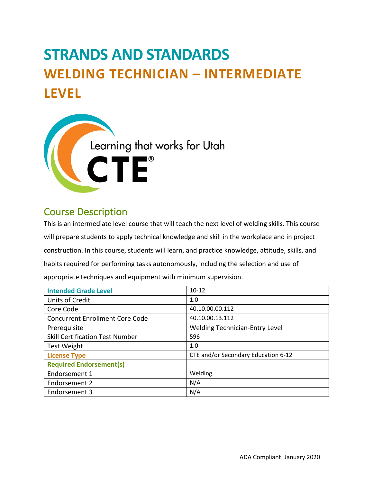# **STRANDS AND STANDARDS WELDING TECHNICIAN – INTERMEDIATE LEVEL**



# Course Description

This is an intermediate level course that will teach the next level of welding skills. This course will prepare students to apply technical knowledge and skill in the workplace and in project construction. In this course, students will learn, and practice knowledge, attitude, skills, and habits required for performing tasks autonomously, including the selection and use of appropriate techniques and equipment with minimum supervision.

| <b>Intended Grade Level</b>            | $10 - 12$                             |
|----------------------------------------|---------------------------------------|
| <b>Units of Credit</b>                 | 1.0                                   |
| Core Code                              | 40.10.00.00.112                       |
| <b>Concurrent Enrollment Core Code</b> | 40.10.00.13.112                       |
| Prerequisite                           | <b>Welding Technician-Entry Level</b> |
| <b>Skill Certification Test Number</b> | 596                                   |
| <b>Test Weight</b>                     | 1.0                                   |
| <b>License Type</b>                    | CTE and/or Secondary Education 6-12   |
| <b>Required Endorsement(s)</b>         |                                       |
| Endorsement 1                          | Welding                               |
| Endorsement 2                          | N/A                                   |
| Endorsement 3                          | N/A                                   |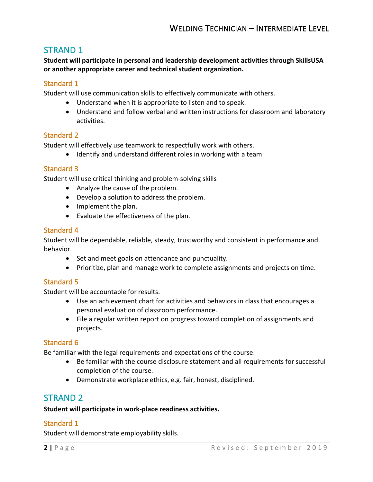# STRAND 1

**Student will participate in personal and leadership development activities through SkillsUSA or another appropriate career and technical student organization.** 

# Standard 1

Student will use communication skills to effectively communicate with others.

- Understand when it is appropriate to listen and to speak.
- Understand and follow verbal and written instructions for classroom and laboratory activities.

## Standard 2

Student will effectively use teamwork to respectfully work with others.

• Identify and understand different roles in working with a team

## Standard 3

Student will use critical thinking and problem-solving skills

- Analyze the cause of the problem.
- Develop a solution to address the problem.
- Implement the plan.
- Evaluate the effectiveness of the plan.

## Standard 4

Student will be dependable, reliable, steady, trustworthy and consistent in performance and behavior.

- Set and meet goals on attendance and punctuality.
- Prioritize, plan and manage work to complete assignments and projects on time.

## Standard 5

Student will be accountable for results.

- Use an achievement chart for activities and behaviors in class that encourages a personal evaluation of classroom performance.
- File a regular written report on progress toward completion of assignments and projects.

## Standard 6

Be familiar with the legal requirements and expectations of the course.

- Be familiar with the course disclosure statement and all requirements for successful completion of the course.
- Demonstrate workplace ethics, e.g. fair, honest, disciplined.

# STRAND 2

#### **Student will participate in work-place readiness activities.**

## Standard 1

Student will demonstrate employability skills.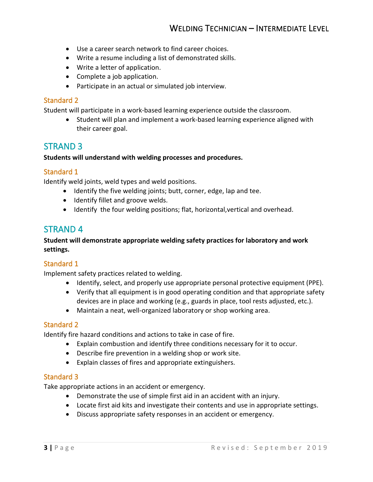- Use a career search network to find career choices.
- Write a resume including a list of demonstrated skills.
- Write a letter of application.
- Complete a job application.
- Participate in an actual or simulated job interview.

#### Standard 2

Student will participate in a work-based learning experience outside the classroom.

• Student will plan and implement a work-based learning experience aligned with their career goal.

# STRAND 3

#### **Students will understand with welding processes and procedures.**

## Standard 1

Identify weld joints, weld types and weld positions.

- Identify the five welding joints; butt, corner, edge, lap and tee.
- Identify fillet and groove welds.
- Identify the four welding positions; flat, horizontal,vertical and overhead.

# STRAND 4

#### **Student will demonstrate appropriate welding safety practices for laboratory and work settings.**

## Standard 1

Implement safety practices related to welding.

- Identify, select, and properly use appropriate personal protective equipment (PPE).
- Verify that all equipment is in good operating condition and that appropriate safety devices are in place and working (e.g., guards in place, tool rests adjusted, etc.).
- Maintain a neat, well-organized laboratory or shop working area.

#### Standard 2

Identify fire hazard conditions and actions to take in case of fire.

- Explain combustion and identify three conditions necessary for it to occur.
- Describe fire prevention in a welding shop or work site.
- Explain classes of fires and appropriate extinguishers.

#### Standard 3

Take appropriate actions in an accident or emergency.

- Demonstrate the use of simple first aid in an accident with an injury.
- Locate first aid kits and investigate their contents and use in appropriate settings.
- Discuss appropriate safety responses in an accident or emergency.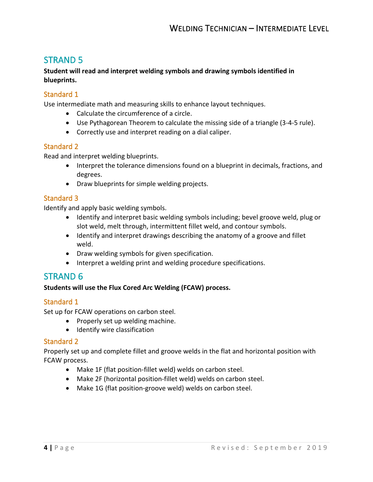# STRAND 5

**Student will read and interpret welding symbols and drawing symbols identified in blueprints.**

# Standard 1

Use intermediate math and measuring skills to enhance layout techniques.

- Calculate the circumference of a circle.
- Use Pythagorean Theorem to calculate the missing side of a triangle (3-4-5 rule).
- Correctly use and interpret reading on a dial caliper.

## Standard 2

Read and interpret welding blueprints.

- Interpret the tolerance dimensions found on a blueprint in decimals, fractions, and degrees.
- Draw blueprints for simple welding projects.

## Standard 3

Identify and apply basic welding symbols.

- Identify and interpret basic welding symbols including; bevel groove weld, plug or slot weld, melt through, intermittent fillet weld, and contour symbols.
- Identify and interpret drawings describing the anatomy of a groove and fillet weld.
- Draw welding symbols for given specification.
- Interpret a welding print and welding procedure specifications.

# STRAND 6

#### **Students will use the Flux Cored Arc Welding (FCAW) process.**

#### Standard 1

Set up for FCAW operations on carbon steel.

- Properly set up welding machine.
- Identify wire classification

#### Standard 2

Properly set up and complete fillet and groove welds in the flat and horizontal position with FCAW process.

- Make 1F (flat position-fillet weld) welds on carbon steel.
- Make 2F (horizontal position-fillet weld) welds on carbon steel.
- Make 1G (flat position-groove weld) welds on carbon steel.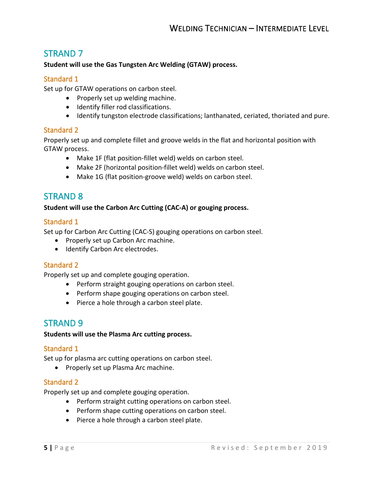# STRAND 7

#### **Student will use the Gas Tungsten Arc Welding (GTAW) process.**

#### Standard 1

Set up for GTAW operations on carbon steel.

- Properly set up welding machine.
- Identify filler rod classifications.
- Identify tungston electrode classifications; lanthanated, ceriated, thoriated and pure.

## Standard 2

Properly set up and complete fillet and groove welds in the flat and horizontal position with GTAW process.

- Make 1F (flat position-fillet weld) welds on carbon steel.
- Make 2F (horizontal position-fillet weld) welds on carbon steel.
- Make 1G (flat position-groove weld) welds on carbon steel.

# STRAND 8

#### **Student will use the Carbon Arc Cutting (CAC-A) or gouging process.**

## Standard 1

Set up for Carbon Arc Cutting (CAC-S) gouging operations on carbon steel.

- Properly set up Carbon Arc machine.
- Identify Carbon Arc electrodes.

## Standard 2

Properly set up and complete gouging operation.

- Perform straight gouging operations on carbon steel.
- Perform shape gouging operations on carbon steel.
- Pierce a hole through a carbon steel plate.

# STRAND 9

#### **Students will use the Plasma Arc cutting process.**

#### Standard 1

Set up for plasma arc cutting operations on carbon steel.

• Properly set up Plasma Arc machine.

#### Standard 2

Properly set up and complete gouging operation.

- Perform straight cutting operations on carbon steel.
- Perform shape cutting operations on carbon steel.
- Pierce a hole through a carbon steel plate.